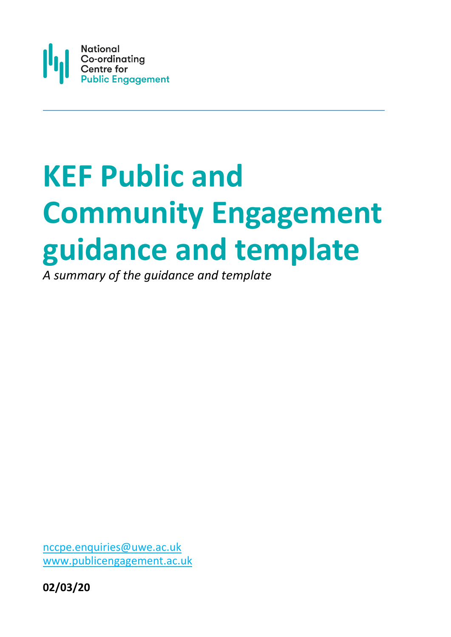

# **KEF Public and Community Engagement guidance and template**

*A summary of the guidance and template*

[nccpe.enquiries@uwe.ac.uk](mailto:nccpe.enquiries@uwe.ac.uk)  [www.publicengagement.ac.uk](http://www.publicengagement.ac.uk/)

**02/03/20**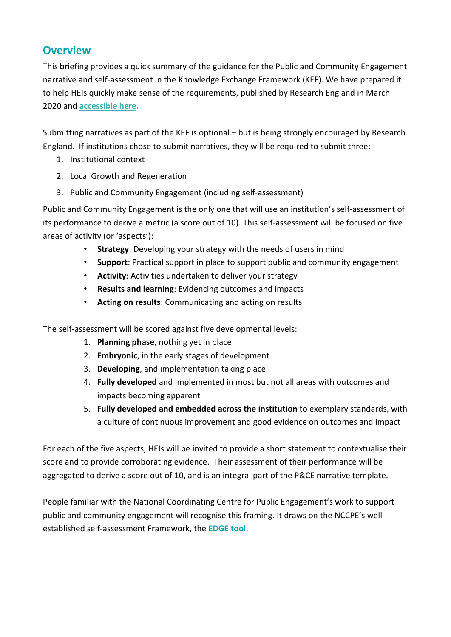# **Overview**

This briefing provides a quick summary of the guidance for the Public and Community Engagement narrative and self-assessment in the Knowledge Exchange Framework (KEF). We have prepared it to help HEIs quickly make sense of the requirements, published by Research England in March 2020 and **[accessible here.](https://re.ukri.org/sector-guidance/publications/knowledge-exchange-framework-clustering-and-narrative-templates/)**

Submitting narratives as part of the KEF is optional – but is being strongly encouraged by Research England. If institutions chose to submit narratives, they will be required to submit three:

- 1. Institutional context
- 2. Local Growth and Regeneration
- 3. Public and Community Engagement (including self-assessment)

Public and Community Engagement is the only one that will use an institution's self-assessment of its performance to derive a metric (a score out of 10). This self-assessment will be focused on five areas of activity (or 'aspects'):

- **Strategy**: Developing your strategy with the needs of users in mind
- **Support**: Practical support in place to support public and community engagement
- **Activity**: Activities undertaken to deliver your strategy
- **Results and learning**: Evidencing outcomes and impacts
- **Acting on results**: Communicating and acting on results

The self-assessment will be scored against five developmental levels:

- 1. **Planning phase**, nothing yet in place
- 2. **Embryonic**, in the early stages of development
- 3. **Developing**, and implementation taking place
- 4. **Fully developed** and implemented in most but not all areas with outcomes and impacts becoming apparent
- 5. **Fully developed and embedded across the institution** to exemplary standards, with a culture of continuous improvement and good evidence on outcomes and impact

For each of the five aspects, HEIs will be invited to provide a short statement to contextualise their score and to provide corroborating evidence. Their assessment of their performance will be aggregated to derive a score out of 10, and is an integral part of the P&CE narrative template.

People familiar with the National Coordinating Centre for Public Engagement's work to support public and community engagement will recognise this framing. It draws on the NCCPE's well established self-assessment Framework, the **[EDGE tool](https://www.publicengagement.ac.uk/support-engagement/strategy-and-planning/edge-tool)**.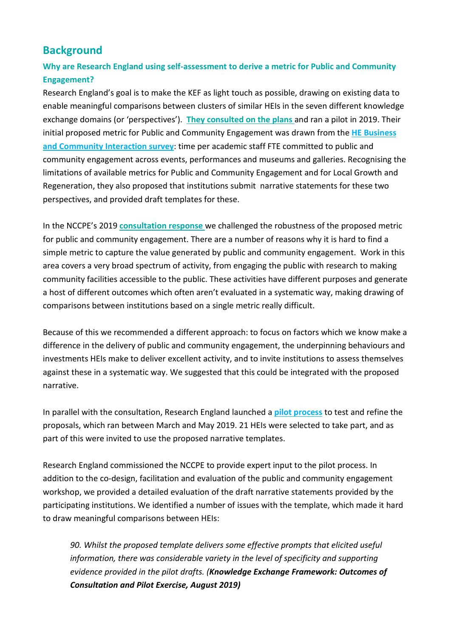# **Background**

# **Why are Research England using self-assessment to derive a metric for Public and Community Engagement?**

Research England's goal is to make the KEF as light touch as possible, drawing on existing data to enable meaningful comparisons between clusters of similar HEIs in the seven different knowledge exchange domains (or 'perspectives'). **[They consulted on the plans](https://re.ukri.org/documents/2019/kef-consultation/)** and ran a pilot in 2019. Their initial proposed metric for Public and Community Engagement was drawn from the **[HE Business](https://re.ukri.org/knowledge-exchange/the-he-bci-survey/)  [and Community Interaction survey](https://re.ukri.org/knowledge-exchange/the-he-bci-survey/)**: time per academic staff FTE committed to public and community engagement across events, performances and museums and galleries. Recognising the limitations of available metrics for Public and Community Engagement and for Local Growth and Regeneration, they also proposed that institutions submit narrative statements for these two perspectives, and provided draft templates for these.

In the NCCPE's 2019 **[consultation response](https://www.publicengagement.ac.uk/sites/default/files/publication/nccpe_response_to_the_kef_consultation_march_2019.pdf)** we challenged the robustness of the proposed metric for public and community engagement. There are a number of reasons why it is hard to find a simple metric to capture the value generated by public and community engagement. Work in this area covers a very broad spectrum of activity, from engaging the public with research to making community facilities accessible to the public. These activities have different purposes and generate a host of different outcomes which often aren't evaluated in a systematic way, making drawing of comparisons between institutions based on a single metric really difficult.

Because of this we recommended a different approach: to focus on factors which we know make a difference in the delivery of public and community engagement, the underpinning behaviours and investments HEIs make to deliver excellent activity, and to invite institutions to assess themselves against these in a systematic way. We suggested that this could be integrated with the proposed narrative.

In parallel with the consultation, Research England launched a **[pilot process](https://re.ukri.org/news-opinions-events/news/research-england-selects-knowledge-exchange-framework-pilot-group/)** to test and refine the proposals, which ran between March and May 2019. 21 HEIs were selected to take part, and as part of this were invited to use the proposed narrative templates.

Research England commissioned the NCCPE to provide expert input to the pilot process. In addition to the co-design, facilitation and evaluation of the public and community engagement workshop, we provided a detailed evaluation of the draft narrative statements provided by the participating institutions. We identified a number of issues with the template, which made it hard to draw meaningful comparisons between HEIs:

*90. Whilst the proposed template delivers some effective prompts that elicited useful information, there was considerable variety in the level of specificity and supporting evidence provided in the pilot drafts. (Knowledge Exchange Framework: Outcomes of Consultation and Pilot Exercise, August 2019)*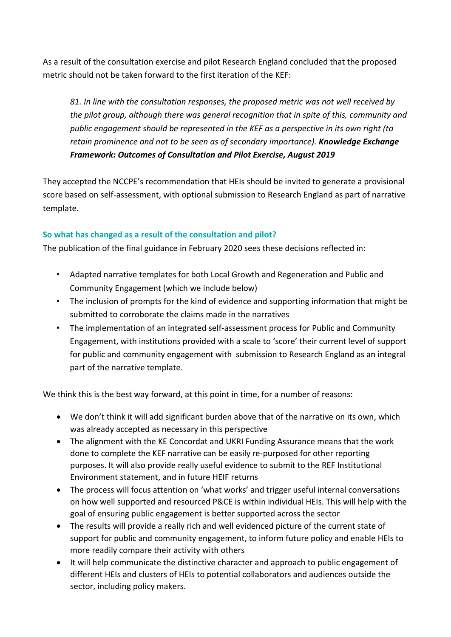As a result of the consultation exercise and pilot Research England concluded that the proposed metric should not be taken forward to the first iteration of the KEF:

*81. In line with the consultation responses, the proposed metric was not well received by the pilot group, although there was general recognition that in spite of this, community and public engagement should be represented in the KEF as a perspective in its own right (to retain prominence and not to be seen as of secondary importance). Knowledge Exchange Framework: Outcomes of Consultation and Pilot Exercise, August 2019*

They accepted the NCCPE's recommendation that HEIs should be invited to generate a provisional score based on self-assessment, with optional submission to Research England as part of narrative template.

# **So what has changed as a result of the consultation and pilot?**

The publication of the final guidance in February 2020 sees these decisions reflected in:

- Adapted narrative templates for both Local Growth and Regeneration and Public and Community Engagement (which we include below)
- The inclusion of prompts for the kind of evidence and supporting information that might be submitted to corroborate the claims made in the narratives
- The implementation of an integrated self-assessment process for Public and Community Engagement, with institutions provided with a scale to 'score' their current level of support for public and community engagement with submission to Research England as an integral part of the narrative template.

We think this is the best way forward, at this point in time, for a number of reasons:

- We don't think it will add significant burden above that of the narrative on its own, which was already accepted as necessary in this perspective
- The alignment with the KE Concordat and UKRI Funding Assurance means that the work done to complete the KEF narrative can be easily re-purposed for other reporting purposes. It will also provide really useful evidence to submit to the REF Institutional Environment statement, and in future HEIF returns
- The process will focus attention on 'what works' and trigger useful internal conversations on how well supported and resourced P&CE is within individual HEIs. This will help with the goal of ensuring public engagement is better supported across the sector
- The results will provide a really rich and well evidenced picture of the current state of support for public and community engagement, to inform future policy and enable HEIs to more readily compare their activity with others
- It will help communicate the distinctive character and approach to public engagement of different HEIs and clusters of HEIs to potential collaborators and audiences outside the sector, including policy makers.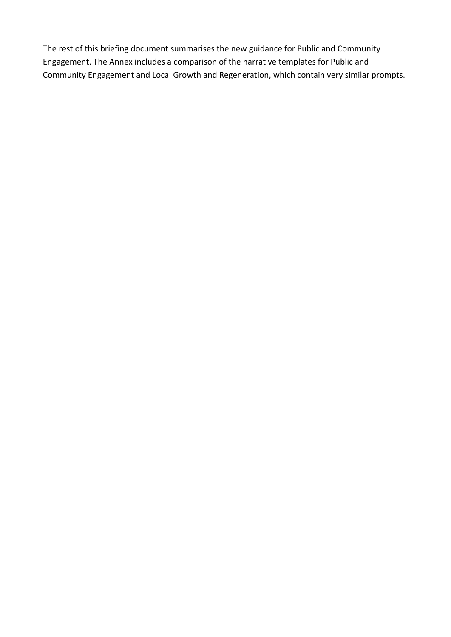The rest of this briefing document summarises the new guidance for Public and Community Engagement. The Annex includes a comparison of the narrative templates for Public and Community Engagement and Local Growth and Regeneration, which contain very similar prompts.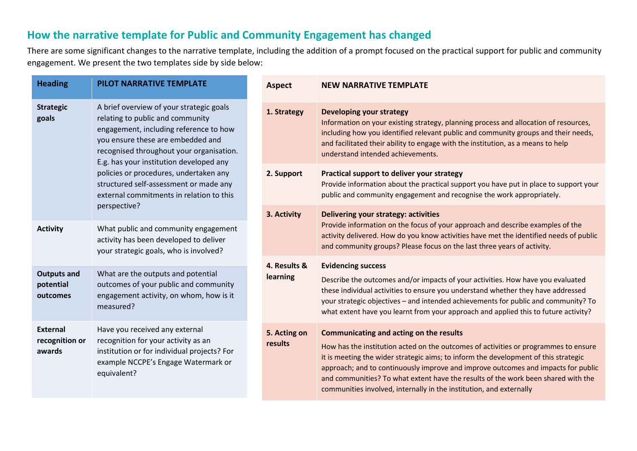# **How the narrative template for Public and Community Engagement has changed**

There are some significant changes to the narrative template, including the addition of a prompt focused on the practical support for public and community engagement. We present the two templates side by side below:

| <b>Heading</b>                              | PILOT NARRATIVE TEMPLATE                                                                                                                                                                                                                           | <b>Aspect</b>                                                                                                                                                                                                                                       | <b>NEW NARRATIVE TEMPLATE</b>                                                                                                                                                                                                                                                                                                                                                                                                                                          |
|---------------------------------------------|----------------------------------------------------------------------------------------------------------------------------------------------------------------------------------------------------------------------------------------------------|-----------------------------------------------------------------------------------------------------------------------------------------------------------------------------------------------------------------------------------------------------|------------------------------------------------------------------------------------------------------------------------------------------------------------------------------------------------------------------------------------------------------------------------------------------------------------------------------------------------------------------------------------------------------------------------------------------------------------------------|
| <b>Strategic</b><br>goals                   | A brief overview of your strategic goals<br>relating to public and community<br>engagement, including reference to how<br>you ensure these are embedded and<br>recognised throughout your organisation.<br>E.g. has your institution developed any | 1. Strategy                                                                                                                                                                                                                                         | <b>Developing your strategy</b><br>Information on your existing strategy, planning process and allocation of resources,<br>including how you identified relevant public and community groups and their needs,<br>and facilitated their ability to engage with the institution, as a means to help<br>understand intended achievements.                                                                                                                                 |
|                                             | policies or procedures, undertaken any<br>structured self-assessment or made any<br>external commitments in relation to this                                                                                                                       | 2. Support                                                                                                                                                                                                                                          | Practical support to deliver your strategy<br>Provide information about the practical support you have put in place to support your<br>public and community engagement and recognise the work appropriately.                                                                                                                                                                                                                                                           |
|                                             | perspective?                                                                                                                                                                                                                                       | 3. Activity                                                                                                                                                                                                                                         | Delivering your strategy: activities                                                                                                                                                                                                                                                                                                                                                                                                                                   |
| <b>Activity</b>                             | What public and community engagement<br>activity has been developed to deliver<br>your strategic goals, who is involved?                                                                                                                           | Provide information on the focus of your approach and describe examples of the<br>activity delivered. How do you know activities have met the identified needs of public<br>and community groups? Please focus on the last three years of activity. |                                                                                                                                                                                                                                                                                                                                                                                                                                                                        |
| <b>Outputs and</b><br>potential<br>outcomes | What are the outputs and potential<br>outcomes of your public and community<br>engagement activity, on whom, how is it<br>measured?                                                                                                                | 4. Results &<br>learning                                                                                                                                                                                                                            | <b>Evidencing success</b><br>Describe the outcomes and/or impacts of your activities. How have you evaluated<br>these individual activities to ensure you understand whether they have addressed<br>your strategic objectives - and intended achievements for public and community? To<br>what extent have you learnt from your approach and applied this to future activity?                                                                                          |
| <b>External</b><br>recognition or<br>awards | Have you received any external<br>recognition for your activity as an<br>institution or for individual projects? For<br>example NCCPE's Engage Watermark or<br>equivalent?                                                                         | 5. Acting on<br>results                                                                                                                                                                                                                             | Communicating and acting on the results<br>How has the institution acted on the outcomes of activities or programmes to ensure<br>it is meeting the wider strategic aims; to inform the development of this strategic<br>approach; and to continuously improve and improve outcomes and impacts for public<br>and communities? To what extent have the results of the work been shared with the<br>communities involved, internally in the institution, and externally |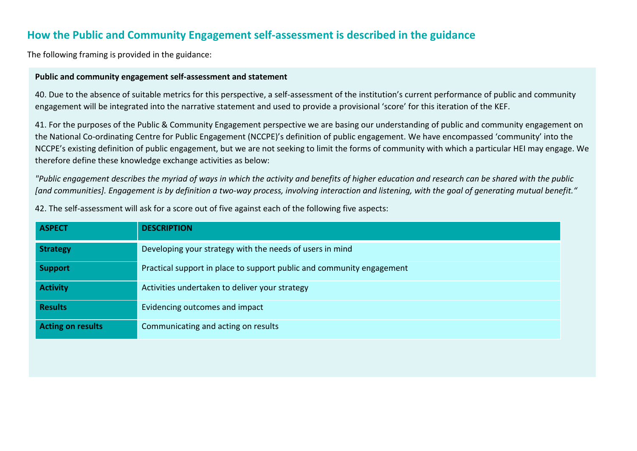# **How the Public and Community Engagement self-assessment is described in the guidance**

The following framing is provided in the guidance:

### **Public and community engagement self-assessment and statement**

40. Due to the absence of suitable metrics for this perspective, a self-assessment of the institution's current performance of public and community engagement will be integrated into the narrative statement and used to provide a provisional 'score' for this iteration of the KEF.

41. For the purposes of the Public & Community Engagement perspective we are basing our understanding of public and community engagement on the National Co-ordinating Centre for Public Engagement (NCCPE)'s definition of public engagement. We have encompassed 'community' into the NCCPE's existing definition of public engagement, but we are not seeking to limit the forms of community with which a particular HEI may engage. We therefore define these knowledge exchange activities as below:

*"Public engagement describes the myriad of ways in which the activity and benefits of higher education and research can be shared with the public [and communities]. Engagement is by definition a two-way process, involving interaction and listening, with the goal of generating mutual benefit."*

42. The self-assessment will ask for a score out of five against each of the following five aspects:

| <b>ASPECT</b>            | <b>DESCRIPTION</b>                                                    |
|--------------------------|-----------------------------------------------------------------------|
| <b>Strategy</b>          | Developing your strategy with the needs of users in mind              |
| <b>Support</b>           | Practical support in place to support public and community engagement |
| <b>Activity</b>          | Activities undertaken to deliver your strategy                        |
| <b>Results</b>           | Evidencing outcomes and impact                                        |
| <b>Acting on results</b> | Communicating and acting on results                                   |
|                          |                                                                       |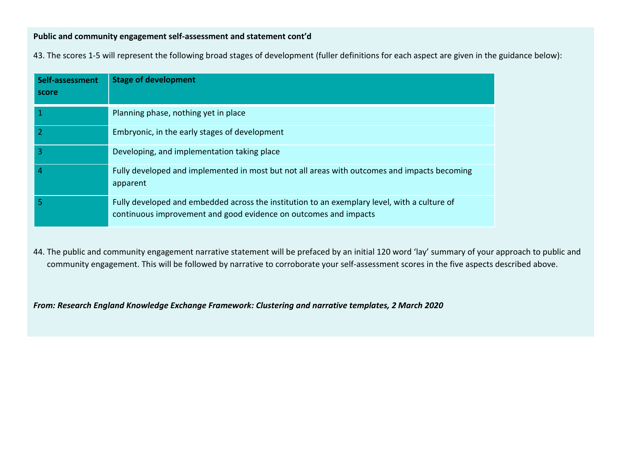# **Public and community engagement self-assessment and statement cont'd**

43. The scores 1-5 will represent the following broad stages of development (fuller definitions for each aspect are given in the guidance below):

| Self-assessment<br>score | <b>Stage of development</b>                                                                                                                                      |
|--------------------------|------------------------------------------------------------------------------------------------------------------------------------------------------------------|
|                          | Planning phase, nothing yet in place                                                                                                                             |
|                          | Embryonic, in the early stages of development                                                                                                                    |
| 3                        | Developing, and implementation taking place                                                                                                                      |
| 4                        | Fully developed and implemented in most but not all areas with outcomes and impacts becoming<br>apparent                                                         |
| 5                        | Fully developed and embedded across the institution to an exemplary level, with a culture of<br>continuous improvement and good evidence on outcomes and impacts |

44. The public and community engagement narrative statement will be prefaced by an initial 120 word 'lay' summary of your approach to public and community engagement. This will be followed by narrative to corroborate your self-assessment scores in the five aspects described above.

*From: Research England Knowledge Exchange Framework: Clustering and narrative templates, 2 March 2020*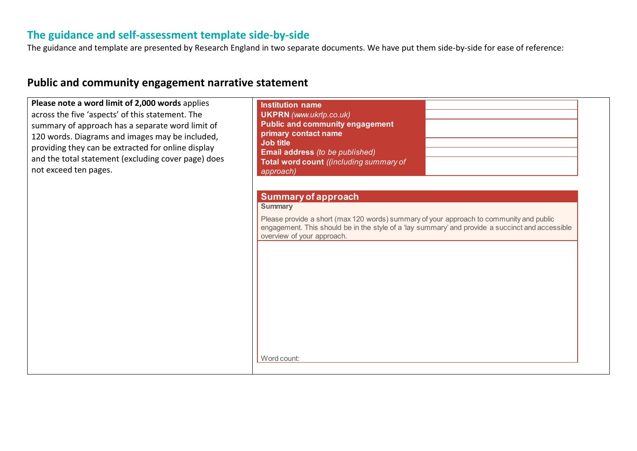# **The guidance and self-assessment template side-by-side**

The guidance and template are presented by Research England in two separate documents. We have put them side-by-side for ease of reference:

| Please note a word limit of 2,000 words applies<br>across the five 'aspects' of this statement. The<br>summary of approach has a separate word limit of<br>120 words. Diagrams and images may be included,<br>providing they can be extracted for online display<br>and the total statement (excluding cover page) does<br>not exceed ten pages. | <b>Institution name</b><br><b>UKPRN</b> (www.ukrlp.co.uk)<br><b>Public and community engagement</b><br>primary contact name<br>Job title<br>Email address (to be published)<br>Total word count ((including summary of<br>approach)                                                      |
|--------------------------------------------------------------------------------------------------------------------------------------------------------------------------------------------------------------------------------------------------------------------------------------------------------------------------------------------------|------------------------------------------------------------------------------------------------------------------------------------------------------------------------------------------------------------------------------------------------------------------------------------------|
|                                                                                                                                                                                                                                                                                                                                                  | <b>Summary of approach</b><br><b>Summary</b><br>Please provide a short (max 120 words) summary of your approach to community and public<br>engagement. This should be in the style of a 'lay summary' and provide a succinct and accessible<br>overview of your approach.<br>Word count: |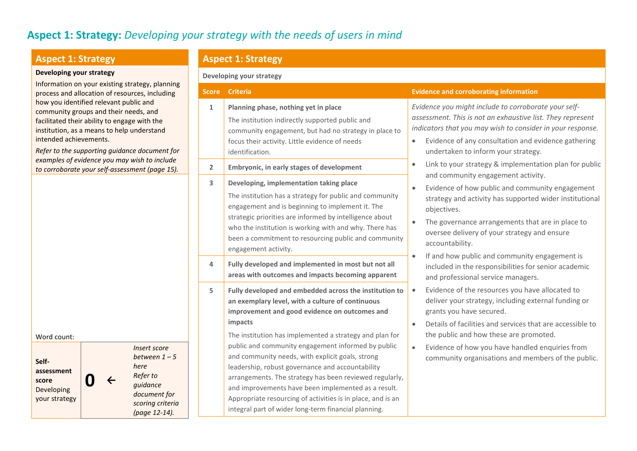# **Aspect 1: Strategy:** *Developing your strategy with the needs of users in mind*

### **Aspect 1: Strategy**

#### **Developing your strategy**

Information on your existing strategy, planning process and allocation of resources, including how you identified relevant public and community groups and their needs, and facilitated their ability to engage with the institution, as a means to help understand intended achievements.

*Refer to the supporting guidance document for examples of evidence you may wish to include to corroborate your self-assessment (page 15).*

**Aspect 1: Strategy**

#### **Developing your strategy**

#### **Score Criteria Evidence and corroborating information 1 Planning phase, nothing yet in place** The institution indirectly supported public and community engagement, but had no strategy in place to focus their activity. Little evidence of needs identification. *Evidence you might include to corroborate your selfassessment. This is not an exhaustive list. They represent indicators that you may wish to consider in your response.* • Evidence of any consultation and evidence gathering undertaken to inform your strategy. • Link to your strategy & implementation plan for public and community engagement activity. • Evidence of how public and community engagement strategy and activity has supported wider institutional objectives. • The governance arrangements that are in place to oversee delivery of your strategy and ensure accountability. • If and how public and community engagement is included in the responsibilities for senior academic and professional service managers. • Evidence of the resources you have allocated to deliver your strategy, including external funding or grants you have secured. • Details of facilities and services that are accessible to the public and how these are promoted. • Evidence of how you have handled enquiries from community organisations and members of the public. **2 Embryonic, in early stages of development 3 Developing, implementation taking place** The institution has a strategy for public and community engagement and is beginning to implement it. The strategic priorities are informed by intelligence about who the institution is working with and why. There has been a commitment to resourcing public and community engagement activity. **4 Fully developed and implemented in most but not all areas with outcomes and impacts becoming apparent 5 Fully developed and embedded across the institution to an exemplary level, with a culture of continuous improvement and good evidence on outcomes and impacts**  The institution has implemented a strategy and plan for public and community engagement informed by public and community needs, with explicit goals, strong leadership, robust governance and accountability arrangements. The strategy has been reviewed regularly, and improvements have been implemented as a result. Appropriate resourcing of activities is in place, and is an integral part of wider long-term financial planning.

Word count: **Selfassessment score** Developing your strategy **0 <sup>←</sup>** *Insert score between 1 – 5 here Refer to guidance document for scoring criteria (page 12-14).*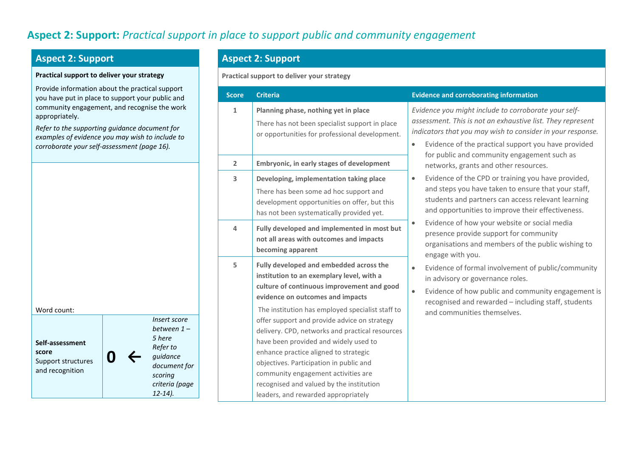# **Aspect 2: Support:** *Practical support in place to support public and community engagement*

# **Aspect 2: Support**

#### **Practical support to deliver your strategy**

Provide information about the practical sup you have put in place to support your public community engagement, and recognise the appropriately.

*Refer to the supporting guidance document examples of evidence you may wish to inclue corroborate your self-assessment (page 16).*

**0 ←**

| Self-assessment    |
|--------------------|
| score              |
| Support structures |
| and recognition    |

Word count:

*Insert*  $beta$ *5 here Refer* guida<sub>n</sub>  $docu$ *scoring criteria (page 12-14).*

# **Aspect 2: Support**

**Practical support to deliver your strategy**

| port<br>c and                                                               | <b>Score</b>   | <b>Criteria</b>                                                                                                                                                                                                                                                                                                                                                                                                                                                                                                                                                                      | <b>Evidence and corroborating information</b>                                                                                                                                                                                                                                                       |
|-----------------------------------------------------------------------------|----------------|--------------------------------------------------------------------------------------------------------------------------------------------------------------------------------------------------------------------------------------------------------------------------------------------------------------------------------------------------------------------------------------------------------------------------------------------------------------------------------------------------------------------------------------------------------------------------------------|-----------------------------------------------------------------------------------------------------------------------------------------------------------------------------------------------------------------------------------------------------------------------------------------------------|
| work<br>for<br>de to                                                        | $\mathbf 1$    | Planning phase, nothing yet in place<br>There has not been specialist support in place<br>or opportunities for professional development.                                                                                                                                                                                                                                                                                                                                                                                                                                             | Evidence you might include to corroborate your self-<br>assessment. This is not an exhaustive list. They represent<br>indicators that you may wish to consider in your response.<br>Evidence of the practical support you have provided<br>$\bullet$<br>for public and community engagement such as |
|                                                                             | $\overline{2}$ | Embryonic, in early stages of development                                                                                                                                                                                                                                                                                                                                                                                                                                                                                                                                            | networks, grants and other resources.                                                                                                                                                                                                                                                               |
|                                                                             | 3              | Developing, implementation taking place<br>There has been some ad hoc support and<br>development opportunities on offer, but this<br>has not been systematically provided yet.                                                                                                                                                                                                                                                                                                                                                                                                       | Evidence of the CPD or training you have provided,<br>$\bullet$<br>and steps you have taken to ensure that your staff,<br>students and partners can access relevant learning<br>and opportunities to improve their effectiveness.                                                                   |
|                                                                             | 4              | Fully developed and implemented in most but<br>not all areas with outcomes and impacts<br>becoming apparent                                                                                                                                                                                                                                                                                                                                                                                                                                                                          | Evidence of how your website or social media<br>$\bullet$<br>presence provide support for community<br>organisations and members of the public wishing to<br>engage with you.                                                                                                                       |
| t score<br>een 1 –<br>е<br>to:<br>ınce<br>ment for<br>ηg<br>ia (page<br>1). | 5              | Fully developed and embedded across the<br>institution to an exemplary level, with a<br>culture of continuous improvement and good<br>evidence on outcomes and impacts<br>The institution has employed specialist staff to<br>offer support and provide advice on strategy<br>delivery. CPD, networks and practical resources<br>have been provided and widely used to<br>enhance practice aligned to strategic<br>objectives. Participation in public and<br>community engagement activities are<br>recognised and valued by the institution<br>leaders, and rewarded appropriately | Evidence of formal involvement of public/community<br>$\bullet$<br>in advisory or governance roles.<br>Evidence of how public and community engagement is<br>$\bullet$<br>recognised and rewarded - including staff, students<br>and communities themselves.                                        |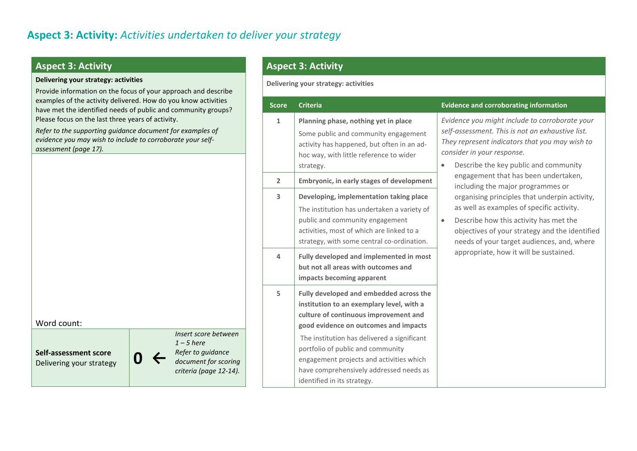# **Aspect 3: Activity**

#### **Delivering your strategy: activities**

Provide information on the focus of your approach and describe examples of the activity delivered. How do you know activities have met the identified needs of public and community groups? Please focus on the last three years of activity.

*Refer to the supporting guidance document for examples of evidence you may wish to include to corroborate your selfassessment (page 17).*

| Word count:                                       |  |                                                                                                             |
|---------------------------------------------------|--|-------------------------------------------------------------------------------------------------------------|
| Self-assessment score<br>Delivering your strategy |  | Insert score between<br>$1 - 5$ here<br>Refer to guidance<br>document for scoring<br>criteria (page 12-14). |

# **Aspect 3: Activity**

**Delivering your strategy: activities**

| <b>Score</b>   | <b>Criteria</b>                                                                                                                                                                                                                                                                                                                                                                  | <b>Evidence and corroborating information</b>                                                                                                                                                                                                                                               |
|----------------|----------------------------------------------------------------------------------------------------------------------------------------------------------------------------------------------------------------------------------------------------------------------------------------------------------------------------------------------------------------------------------|---------------------------------------------------------------------------------------------------------------------------------------------------------------------------------------------------------------------------------------------------------------------------------------------|
| $\mathbf{1}$   | Planning phase, nothing yet in place<br>Some public and community engagement<br>activity has happened, but often in an ad-<br>hoc way, with little reference to wider<br>strategy.                                                                                                                                                                                               | Evidence you might include to corroborate your<br>self-assessment. This is not an exhaustive list.<br>They represent indicators that you may wish to<br>consider in your response.<br>Describe the key public and community<br>$\bullet$                                                    |
| $\overline{2}$ | Embryonic, in early stages of development                                                                                                                                                                                                                                                                                                                                        | engagement that has been undertaken,<br>including the major programmes or                                                                                                                                                                                                                   |
| 3<br>4         | Developing, implementation taking place<br>The institution has undertaken a variety of<br>public and community engagement<br>activities, most of which are linked to a<br>strategy, with some central co-ordination.<br>Fully developed and implemented in most<br>but not all areas with outcomes and<br>impacts becoming apparent                                              | organising principles that underpin activity,<br>as well as examples of specific activity.<br>Describe how this activity has met the<br>$\bullet$<br>objectives of your strategy and the identified<br>needs of your target audiences, and, where<br>appropriate, how it will be sustained. |
| 5              | Fully developed and embedded across the<br>institution to an exemplary level, with a<br>culture of continuous improvement and<br>good evidence on outcomes and impacts<br>The institution has delivered a significant<br>portfolio of public and community<br>engagement projects and activities which<br>have comprehensively addressed needs as<br>identified in its strategy. |                                                                                                                                                                                                                                                                                             |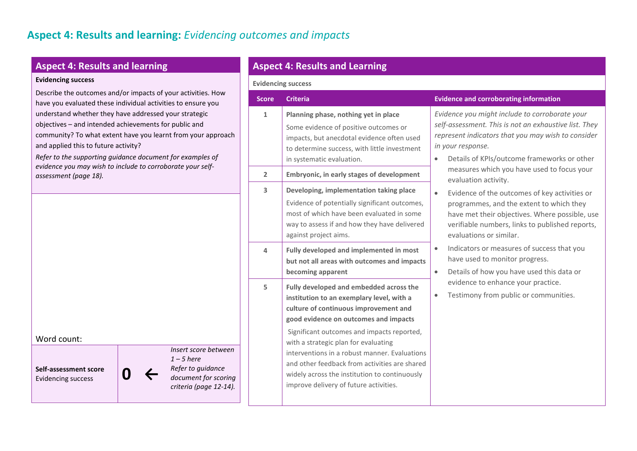# **Aspect 4: Results and learning**

#### **Evidencing success**

Describe the outcomes and/or impacts of your activities. How have you evaluated these individual activities to ensure you understand whether they have addressed your strategic objectives – and intended achievements for public and community? To what extent have you learnt from your approach and applied this to future activity?

*Refer to the supporting guidance document for examples of evidence you may wish to include to corroborate your selfassessment (page 18).*

| Word count: |  |
|-------------|--|
|-------------|--|

**Self-assessment score** Evidencing success **D** 

*Insert score between 1 – 5 here Refer to guidance document for scoring criteria (page 12-14).*

# **Aspect 4: Results and Learning**

#### **Evidencing success**

| <b>Score</b>            | <b>Criteria</b>                                                                                                                                                                                                                                                                                                                                                                                                                                           | <b>Evidence and corroborating information</b>                                                                                                                                                                                                  |
|-------------------------|-----------------------------------------------------------------------------------------------------------------------------------------------------------------------------------------------------------------------------------------------------------------------------------------------------------------------------------------------------------------------------------------------------------------------------------------------------------|------------------------------------------------------------------------------------------------------------------------------------------------------------------------------------------------------------------------------------------------|
| $\mathbf{1}$            | Planning phase, nothing yet in place<br>Some evidence of positive outcomes or<br>impacts, but anecdotal evidence often used<br>to determine success, with little investment<br>in systematic evaluation.                                                                                                                                                                                                                                                  | Evidence you might include to corroborate your<br>self-assessment. This is not an exhaustive list. They<br>represent indicators that you may wish to consider<br>in your response.<br>Details of KPIs/outcome frameworks or other<br>$\bullet$ |
| $\overline{2}$          | Embryonic, in early stages of development                                                                                                                                                                                                                                                                                                                                                                                                                 | measures which you have used to focus your<br>evaluation activity.                                                                                                                                                                             |
| $\overline{\mathbf{3}}$ | Developing, implementation taking place<br>Evidence of potentially significant outcomes,<br>most of which have been evaluated in some<br>way to assess if and how they have delivered<br>against project aims.                                                                                                                                                                                                                                            | Evidence of the outcomes of key activities or<br>$\bullet$<br>programmes, and the extent to which they<br>have met their objectives. Where possible, use<br>verifiable numbers, links to published reports,<br>evaluations or similar.         |
| 4                       | Fully developed and implemented in most<br>but not all areas with outcomes and impacts<br>becoming apparent                                                                                                                                                                                                                                                                                                                                               | Indicators or measures of success that you<br>$\bullet$<br>have used to monitor progress.<br>Details of how you have used this data or<br>$\bullet$                                                                                            |
| 5                       | Fully developed and embedded across the<br>institution to an exemplary level, with a<br>culture of continuous improvement and<br>good evidence on outcomes and impacts<br>Significant outcomes and impacts reported,<br>with a strategic plan for evaluating<br>interventions in a robust manner. Evaluations<br>and other feedback from activities are shared<br>widely across the institution to continuously<br>improve delivery of future activities. | evidence to enhance your practice.<br>Testimony from public or communities.<br>$\bullet$                                                                                                                                                       |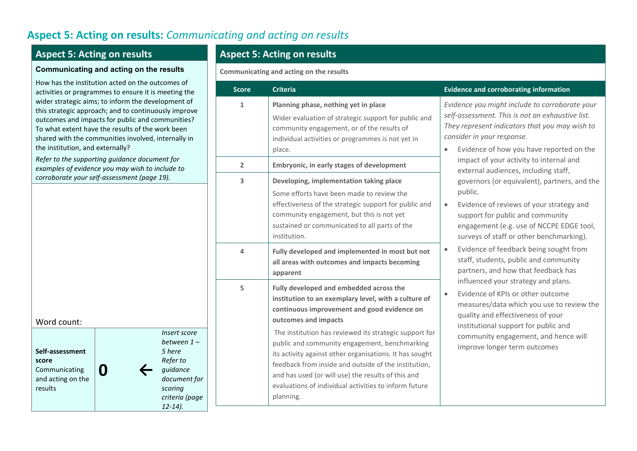# **Aspect 5: Acting on results:** *Communicating and acting on results*

# **Aspect 5: Acting on results**

#### **Communicating and acting on the results**

How has the institution acted on the outcomes of activities or programmes to ensure it is meeting the wider strategic aims; to inform the development of this strategic approach; and to continuously improve outcomes and impacts for public and communities? To what extent have the results of the work been shared with the communities involved, internally in the institution, and externally?

*Refer to the supporting guidance document for examples of evidence you may wish to include to corroborate your self-assessment (page 19).*

# Word count:



# **Aspect 5: Acting on results**

**Communicating and acting on the results**

| <b>Score</b>                                                                                                 | <b>Criteria</b>                                                                                                                                                                                                                                             | <b>Evidence and corroborating information</b>                                                                                                                                                                                                |
|--------------------------------------------------------------------------------------------------------------|-------------------------------------------------------------------------------------------------------------------------------------------------------------------------------------------------------------------------------------------------------------|----------------------------------------------------------------------------------------------------------------------------------------------------------------------------------------------------------------------------------------------|
| Planning phase, nothing yet in place<br>$\mathbf{1}$<br>community engagement, or of the results of<br>place. | Wider evaluation of strategic support for public and<br>individual activities or programmes is not yet in                                                                                                                                                   | Evidence you might include to corroborate your<br>self-assessment. This is not an exhaustive list.<br>They represent indicators that you may wish to<br>consider in your response.<br>Evidence of how you have reported on the<br>$\bullet$  |
| $\overline{2}$                                                                                               | Embryonic, in early stages of development                                                                                                                                                                                                                   | impact of your activity to internal and<br>external audiences, including staff,                                                                                                                                                              |
| 3                                                                                                            | Developing, implementation taking place<br>Some efforts have been made to review the<br>effectiveness of the strategic support for public and<br>community engagement, but this is not yet<br>sustained or communicated to all parts of the<br>institution. | governors (or equivalent), partners, and the<br>public.<br>Evidence of reviews of your strategy and<br>$\bullet$<br>support for public and community<br>engagement (e.g. use of NCCPE EDGE tool,<br>surveys of staff or other benchmarking). |
| 4                                                                                                            | Fully developed and implemented in most but not<br>all areas with outcomes and impacts becoming<br>apparent                                                                                                                                                 | Evidence of feedback being sought from<br>$\bullet$<br>staff, students, public and community<br>partners, and how that feedback has                                                                                                          |
| 5                                                                                                            | Fully developed and embedded across the<br>institution to an exemplary level, with a culture of<br>continuous improvement and good evidence on<br>outcomes and impacts                                                                                      | influenced your strategy and plans.<br>Evidence of KPIs or other outcome<br>$\bullet$<br>measures/data which you use to review the<br>quality and effectiveness of your<br>institutional support for public and                              |
|                                                                                                              | The institution has reviewed its strategic support for<br>public and community engagement, benchmarking<br>its activity against other organisations. It has sought<br>feedback from inside and outside of the institution,                                  | community engagement, and hence will<br>improve longer term outcomes                                                                                                                                                                         |
|                                                                                                              | and has used (or will use) the results of this and<br>evaluations of individual activities to inform future<br>planning.                                                                                                                                    |                                                                                                                                                                                                                                              |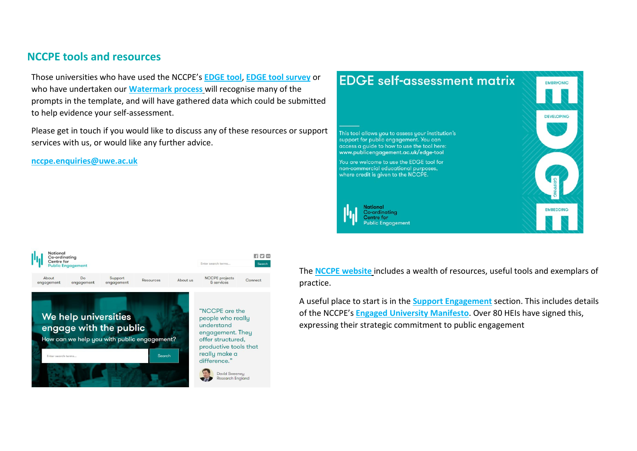# **NCCPE tools and resources**

Those universities who have used the NCCPE's **[EDGE tool](https://www.publicengagement.ac.uk/support-engagement/strategy-and-planning/edge-tool)**, **[EDGE tool](https://www.publicengagement.ac.uk/edge-tool-survey) survey** or who have undertaken our **[Watermark process](https://www.publicengagement.ac.uk/nccpe-projects-and-services/engage-watermark)** will recognise many of the prompts in the template, and will have gathered data which could be submitted to help evidence your self-assessment.

Please get in touch if you would like to discuss any of these resources or support services with us, or would like any further advice.

**[nccpe.enquiries@uwe.ac.uk](mailto:nccpe.enquiries@uwe.ac.uk)**





The **[NCCPE website](http://www.publicengagement.ac.uk/)** includes a wealth of resources, useful tools and exemplars of practice.

A useful place to start is in the **[Support Engagement](https://www.publicengagement.ac.uk/support-engagement)** section. This includes details of the NCCPE's **[Engaged University Manifesto](https://www.publicengagement.ac.uk/support-engagement/strategy-and-planning/manifesto-public-engagement)**. Over 80 HEIs have signed this, expressing their strategic commitment to public engagement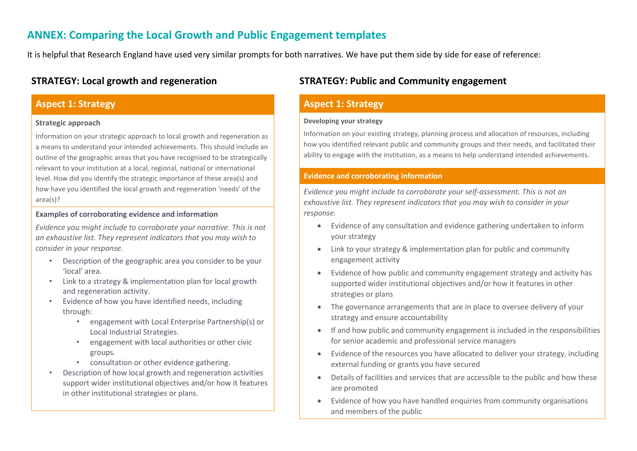# **ANNEX: Comparing the Local Growth and Public Engagement templates**

It is helpful that Research England have used very similar prompts for both narratives. We have put them side by side for ease of reference:

# **Aspect 1: Strategy**

#### **Strategic approach**

Information on your strategic approach to local growth and regeneration as a means to understand your intended achievements. This should include an outline of the geographic areas that you have recognised to be strategically relevant to your institution at a local, regional, national or international level. How did you identify the strategic importance of these area(s) and how have you identified the local growth and regeneration 'needs' of the area(s)?

#### **Examples of corroborating evidence and information**

*Evidence you might include to corroborate your narrative. This is not an exhaustive list. They represent indicators that you may wish to consider in your response.*

- Description of the geographic area you consider to be your 'local' area.
- Link to a strategy & implementation plan for local growth and regeneration activity.
- Evidence of how you have identified needs, including through:
	- engagement with Local Enterprise Partnership(s) or Local Industrial Strategies.
	- engagement with local authorities or other civic groups.
	- consultation or other evidence gathering.
- Description of how local growth and regeneration activities support wider institutional objectives and/or how it features in other institutional strategies or plans.

# **STRATEGY: Local growth and regeneration STRATEGY: Public and Community engagement**

# **Aspect 1: Strategy**

#### **Developing your strategy**

Information on your existing strategy, planning process and allocation of resources, including how you identified relevant public and community groups and their needs, and facilitated their ability to engage with the institution, as a means to help understand intended achievements.

#### **Evidence and corroborating information**

*Evidence you might include to corroborate your self-assessment. This is not an exhaustive list. They represent indicators that you may wish to consider in your response.*

- Evidence of any consultation and evidence gathering undertaken to inform your strategy
- Link to your strategy & implementation plan for public and community engagement activity
- Evidence of how public and community engagement strategy and activity has supported wider institutional objectives and/or how it features in other strategies or plans
- The governance arrangements that are in place to oversee delivery of your strategy and ensure accountability
- If and how public and community engagement is included in the responsibilities for senior academic and professional service managers
- Evidence of the resources you have allocated to deliver your strategy, including external funding or grants you have secured
- Details of facilities and services that are accessible to the public and how these are promoted
- Evidence of how you have handled enquiries from community organisations and members of the public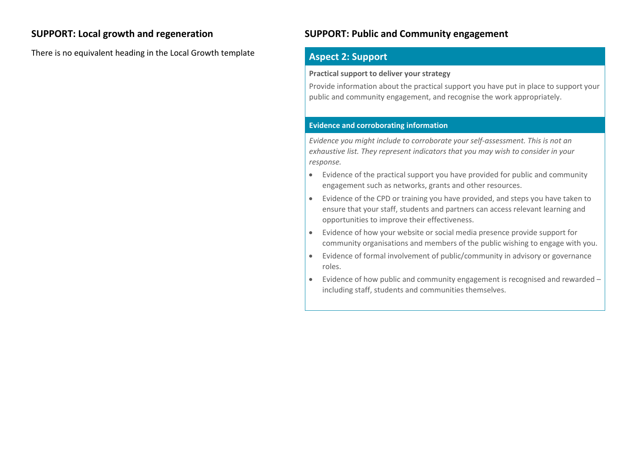There is no equivalent heading in the Local Growth template **Aspect 2: Support** 

# **SUPPORT: Local growth and regeneration SUPPORT: Public and Community engagement**

### **Practical support to deliver your strategy**

Provide information about the practical support you have put in place to support your public and community engagement, and recognise the work appropriately.

### **Evidence and corroborating information**

*Evidence you might include to corroborate your self-assessment. This is not an exhaustive list. They represent indicators that you may wish to consider in your response.*

- Evidence of the practical support you have provided for public and community engagement such as networks, grants and other resources.
- Evidence of the CPD or training you have provided, and steps you have taken to ensure that your staff, students and partners can access relevant learning and opportunities to improve their effectiveness.
- Evidence of how your website or social media presence provide support for community organisations and members of the public wishing to engage with you.
- Evidence of formal involvement of public/community in advisory or governance roles.
- Evidence of how public and community engagement is recognised and rewarded including staff, students and communities themselves.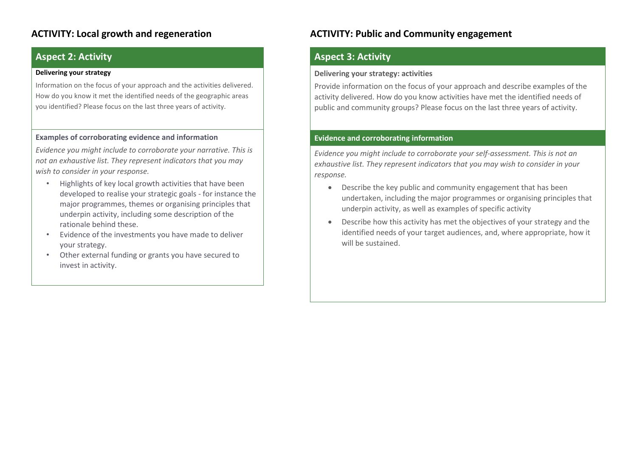# **Aspect 2: Activity**

#### **Delivering your strategy**

Information on the focus of your approach and the activities delivered. How do you know it met the identified needs of the geographic areas you identified? Please focus on the last three years of activity.

#### **Examples of corroborating evidence and information**

*Evidence you might include to corroborate your narrative. This is not an exhaustive list. They represent indicators that you may wish to consider in your response.* 

- Highlights of key local growth activities that have been developed to realise your strategic goals - for instance the major programmes, themes or organising principles that underpin activity, including some description of the rationale behind these.
- Evidence of the investments you have made to deliver your strategy.
- Other external funding or grants you have secured to invest in activity.

# **ACTIVITY: Local growth and regeneration ACTIVITY: Public and Community engagement**

# **Aspect 3: Activity**

#### **Delivering your strategy: activities**

Provide information on the focus of your approach and describe examples of the activity delivered. How do you know activities have met the identified needs of public and community groups? Please focus on the last three years of activity.

#### **Evidence and corroborating information**

*Evidence you might include to corroborate your self-assessment. This is not an exhaustive list. They represent indicators that you may wish to consider in your response.*

- Describe the key public and community engagement that has been undertaken, including the major programmes or organising principles that underpin activity, as well as examples of specific activity
- Describe how this activity has met the objectives of your strategy and the identified needs of your target audiences, and, where appropriate, how it will be sustained.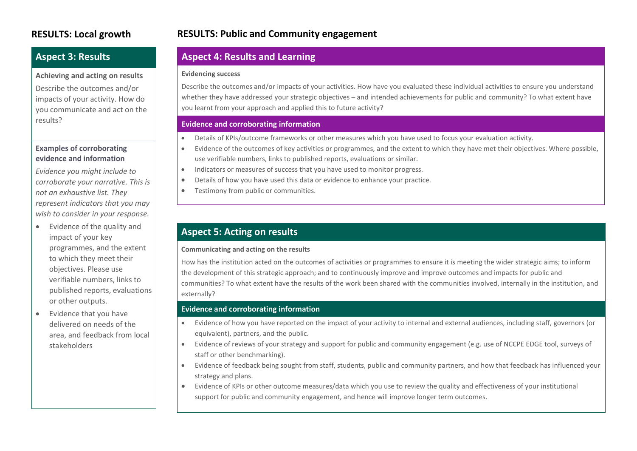# **Aspect 3: Results**

#### **Achieving and acting on results**

Describe the outcomes and/or impacts of your activity. How do you communicate and act on the results?

#### **Examples of corroborating evidence and information**

*Evidence you might include to corroborate your narrative. This is not an exhaustive list. They represent indicators that you may wish to consider in your response.*

- Evidence of the quality and impact of your key programmes, and the extent to which they meet their objectives. Please use verifiable numbers, links to published reports, evaluations or other outputs.
- Evidence that you have delivered on needs of the area, and feedback from local stakeholders

# **RESULTS: Local growth RESULTS: Public and Community engagement**

# **Aspect 4: Results and Learning**

#### **Evidencing success**

Describe the outcomes and/or impacts of your activities. How have you evaluated these individual activities to ensure you understand whether they have addressed your strategic objectives – and intended achievements for public and community? To what extent have you learnt from your approach and applied this to future activity?

### **Evidence and corroborating information**

- Details of KPIs/outcome frameworks or other measures which you have used to focus your evaluation activity.
- Evidence of the outcomes of key activities or programmes, and the extent to which they have met their objectives. Where possible, use verifiable numbers, links to published reports, evaluations or similar.
- Indicators or measures of success that you have used to monitor progress.
- Details of how you have used this data or evidence to enhance your practice.
- Testimony from public or communities.

# **Aspect 5: Acting on results**

#### **Communicating and acting on the results**

How has the institution acted on the outcomes of activities or programmes to ensure it is meeting the wider strategic aims; to inform the development of this strategic approach; and to continuously improve and improve outcomes and impacts for public and communities? To what extent have the results of the work been shared with the communities involved, internally in the institution, and externally?

#### **Evidence and corroborating information**

- Evidence of how you have reported on the impact of your activity to internal and external audiences, including staff, governors (or equivalent), partners, and the public.
- Evidence of reviews of your strategy and support for public and community engagement (e.g. use of NCCPE EDGE tool, surveys of staff or other benchmarking).
- Evidence of feedback being sought from staff, students, public and community partners, and how that feedback has influenced your strategy and plans.
- Evidence of KPIs or other outcome measures/data which you use to review the quality and effectiveness of your institutional support for public and community engagement, and hence will improve longer term outcomes.